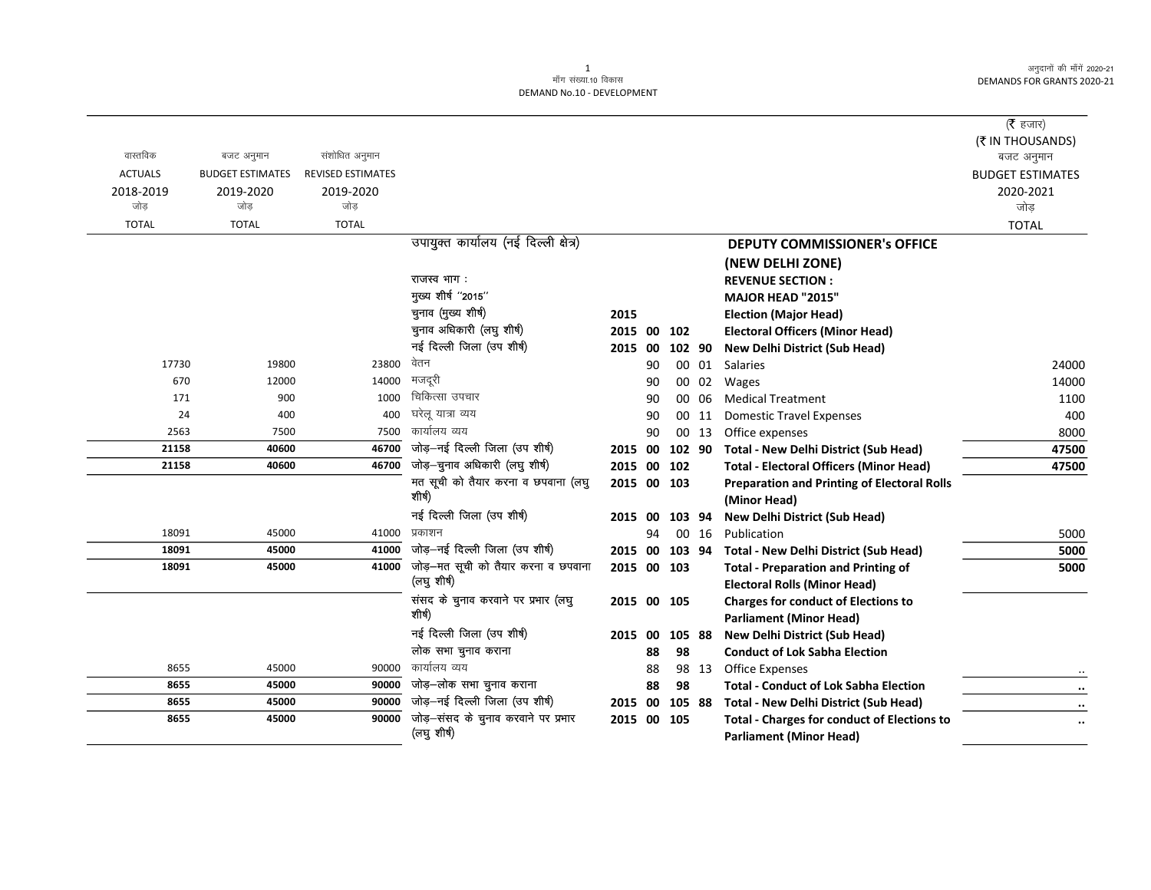## 1 ek¡x l a[;k-10 fodkl DEMAND No.10 - DEVELOPMENT

|                |                         |                          |                                                                         |             |    |        |       |                                                                                   | ( $\bar{\tau}$ हजार)           |
|----------------|-------------------------|--------------------------|-------------------------------------------------------------------------|-------------|----|--------|-------|-----------------------------------------------------------------------------------|--------------------------------|
| वास्तविक       | बजट अनुमान              | संशोधित अनुमान           |                                                                         |             |    |        |       |                                                                                   | (₹ IN THOUSANDS)<br>बजट अनुमान |
| <b>ACTUALS</b> | <b>BUDGET ESTIMATES</b> | <b>REVISED ESTIMATES</b> |                                                                         |             |    |        |       |                                                                                   | <b>BUDGET ESTIMATES</b>        |
| 2018-2019      | 2019-2020               | 2019-2020                |                                                                         |             |    |        |       |                                                                                   | 2020-2021                      |
| जोड            | जोड                     | जोड                      |                                                                         |             |    |        |       |                                                                                   | जोड                            |
| <b>TOTAL</b>   | <b>TOTAL</b>            | <b>TOTAL</b>             |                                                                         |             |    |        |       |                                                                                   | <b>TOTAL</b>                   |
|                |                         |                          | उपायुक्त कार्यालय (नई दिल्ली क्षेत्र)                                   |             |    |        |       | <b>DEPUTY COMMISSIONER's OFFICE</b>                                               |                                |
|                |                         |                          |                                                                         |             |    |        |       | (NEW DELHI ZONE)                                                                  |                                |
|                |                         |                          | राजस्व भाग :                                                            |             |    |        |       | <b>REVENUE SECTION:</b>                                                           |                                |
|                |                         |                          | मुख्य शीर्ष "2015"                                                      |             |    |        |       | MAJOR HEAD "2015"                                                                 |                                |
|                |                         |                          | चुनाव (मुख्य शीर्ष)                                                     | 2015        |    |        |       | <b>Election (Major Head)</b>                                                      |                                |
|                |                         |                          | चुनाव अधिकारी (लघु शीर्ष)                                               | 2015 00     |    | 102    |       | <b>Electoral Officers (Minor Head)</b>                                            |                                |
|                |                         |                          | नई दिल्ली जिला (उप शीर्ष)                                               | 2015 00     |    | 102 90 |       | New Delhi District (Sub Head)                                                     |                                |
| 17730          | 19800                   | 23800                    | वेतन                                                                    |             | 90 | 00     | 01    | <b>Salaries</b>                                                                   | 24000                          |
| 670            | 12000                   | 14000                    | मजदूरी                                                                  |             | 90 | $00\,$ | 02    | Wages                                                                             | 14000                          |
| 171            | 900                     | 1000                     | चिकित्सा उपचार                                                          |             | 90 | 00     | 06    | <b>Medical Treatment</b>                                                          | 1100                           |
| 24             | 400                     | 400                      | घरेलू यात्रा व्यय                                                       |             | 90 | 00     | 11    | <b>Domestic Travel Expenses</b>                                                   | 400                            |
| 2563           | 7500                    | 7500                     | कार्यालय व्यय                                                           |             | 90 |        | 00 13 | Office expenses                                                                   | 8000                           |
| 21158          | 40600                   | 46700                    | जोड़-नई दिल्ली जिला (उप शीर्ष)                                          | 2015 00     |    | 102 90 |       | Total - New Delhi District (Sub Head)                                             | 47500                          |
| 21158          | 40600                   | 46700                    | जोड़-न्रुनाव अधिकारी (लघु शीर्ष)<br>मत सूची को तैयार करना व छपवाना (लघु | 2015 00     |    | 102    |       | <b>Total - Electoral Officers (Minor Head)</b>                                    | 47500                          |
|                |                         |                          | शीर्ष)                                                                  | 2015 00 103 |    |        |       | <b>Preparation and Printing of Electoral Rolls</b><br>(Minor Head)                |                                |
|                |                         |                          | नई दिल्ली जिला (उप शीर्ष)                                               | 2015 00     |    | 103 94 |       | <b>New Delhi District (Sub Head)</b>                                              |                                |
| 18091          | 45000                   | 41000                    | प्रकाशन                                                                 |             | 94 |        | 00 16 | Publication                                                                       | 5000                           |
| 18091          | 45000                   | 41000                    | जोड़-नई दिल्ली जिला (उप शीर्ष)                                          | 2015 00     |    | 103 94 |       | <b>Total - New Delhi District (Sub Head)</b>                                      | 5000                           |
| 18091          | 45000                   | 41000                    | जोड़-मत सूची को तैयार करना व छपवाना<br>(लघु शीर्ष)                      | 2015 00 103 |    |        |       | <b>Total - Preparation and Printing of</b><br><b>Electoral Rolls (Minor Head)</b> | 5000                           |
|                |                         |                          | संसद के चुनाव करवाने पर प्रभार (लघु<br>शीर्ष)                           | 2015 00 105 |    |        |       | <b>Charges for conduct of Elections to</b><br><b>Parliament (Minor Head)</b>      |                                |
|                |                         |                          | नई दिल्ली जिला (उप शीर्ष)                                               | 2015 00     |    | 105 88 |       | New Delhi District (Sub Head)                                                     |                                |
|                |                         |                          | लोक सभा चुनाव कराना                                                     |             | 88 | 98     |       | <b>Conduct of Lok Sabha Election</b>                                              |                                |
| 8655           | 45000                   | 90000                    | कार्यालय व्यय                                                           |             | 88 |        | 98 13 | <b>Office Expenses</b>                                                            |                                |
| 8655           | 45000                   | 90000                    | जोड़-लोक सभा चुनाव कराना                                                |             | 88 | 98     |       | <b>Total - Conduct of Lok Sabha Election</b>                                      | $\cdots$                       |
| 8655           | 45000                   | 90000                    | जोड़-नई दिल्ली जिला (उप शीर्ष)                                          | 2015 00     |    | 105 88 |       | <b>Total - New Delhi District (Sub Head)</b>                                      | $\cdot \cdot$                  |
| 8655           | 45000                   | 90000                    | जोड़-संसद के चुनाव करवाने पर प्रभार                                     | 2015 00 105 |    |        |       | <b>Total - Charges for conduct of Elections to</b>                                | $\ldots$                       |
|                |                         |                          | (लघु शीर्ष)                                                             |             |    |        |       | <b>Parliament (Minor Head)</b>                                                    |                                |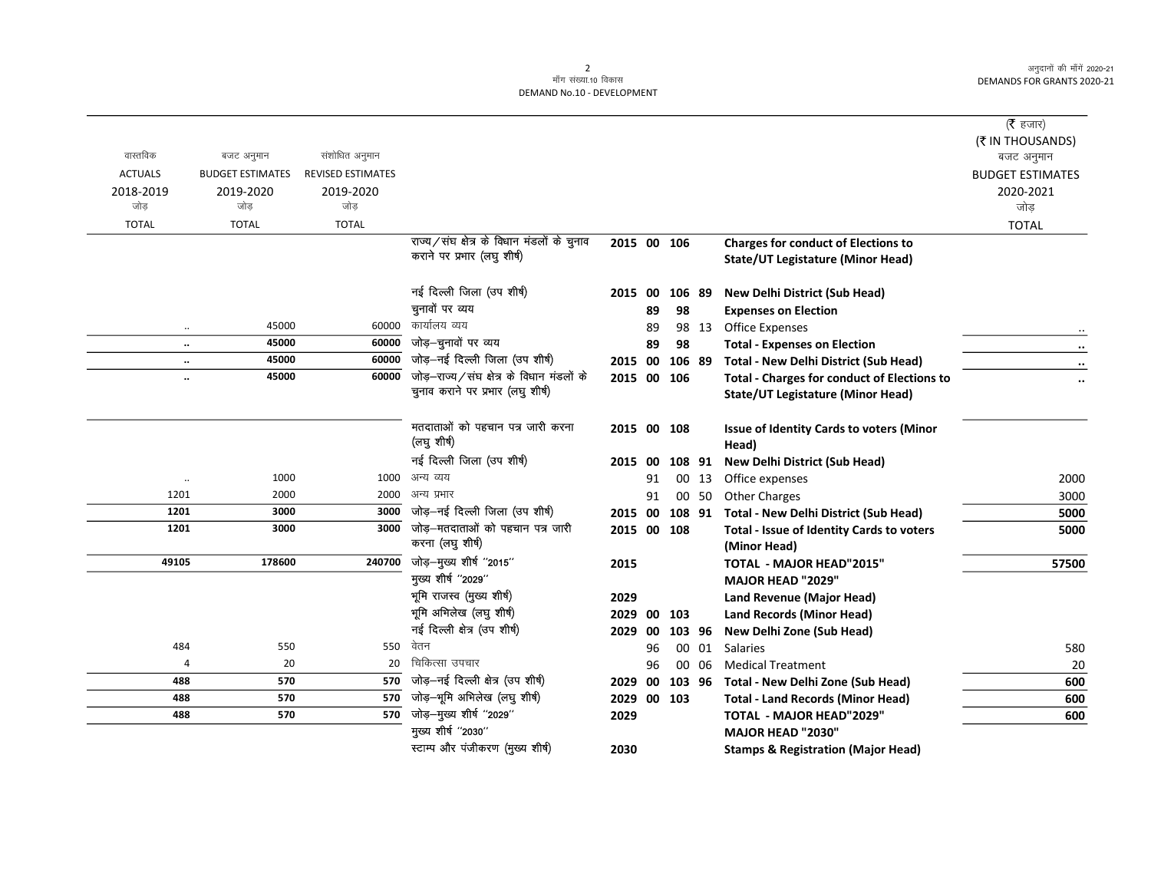|                      |                         |                          |                                                      |             |    |             |        |                                                           | (रै हजार)<br>(₹ IN THOUSANDS) |
|----------------------|-------------------------|--------------------------|------------------------------------------------------|-------------|----|-------------|--------|-----------------------------------------------------------|-------------------------------|
| वास्तविक             | बजट अनुमान              | संशोधित अनुमान           |                                                      |             |    |             |        |                                                           | बजट अनुमान                    |
| <b>ACTUALS</b>       | <b>BUDGET ESTIMATES</b> | <b>REVISED ESTIMATES</b> |                                                      |             |    |             |        |                                                           | <b>BUDGET ESTIMATES</b>       |
| 2018-2019            | 2019-2020               | 2019-2020                |                                                      |             |    |             |        |                                                           | 2020-2021                     |
| जोड़                 | जोड                     | जोड                      |                                                      |             |    |             |        |                                                           | जोड़                          |
| <b>TOTAL</b>         | <b>TOTAL</b>            | <b>TOTAL</b>             |                                                      |             |    |             |        |                                                           | <b>TOTAL</b>                  |
|                      |                         |                          | राज्य/संघ क्षेत्र के विधान मंडलों के चुनाव           | 2015 00 106 |    |             |        | <b>Charges for conduct of Elections to</b>                |                               |
|                      |                         |                          | कराने पर प्रभार (लघु शीर्ष)                          |             |    |             |        | <b>State/UT Legistature (Minor Head)</b>                  |                               |
|                      |                         |                          | नई दिल्ली जिला (उप शीर्ष)                            | 2015 00     |    | 106 89      |        | New Delhi District (Sub Head)                             |                               |
|                      |                         |                          | चुनावों पर व्यय                                      |             | 89 | 98          |        | <b>Expenses on Election</b>                               |                               |
| $\ddotsc$            | 45000                   | 60000                    | कार्यालय व्यय                                        |             | 89 |             | 98 13  | <b>Office Expenses</b>                                    |                               |
| $\ddotsc$            | 45000                   | 60000                    | जोड़-चुनावों पर व्यय                                 |             | 89 | 98          |        | <b>Total - Expenses on Election</b>                       |                               |
| $\ddotsc$            | 45000                   | 60000                    | जोड़-नई दिल्ली जिला (उप शीर्ष)                       | 2015 00     |    |             | 106 89 | Total - New Delhi District (Sub Head)                     |                               |
| $\ddot{\phantom{a}}$ | 45000                   | 60000                    | जोड़-राज्य/संघ क्षेत्र के विधान मंडलों के            |             |    | 2015 00 106 |        | <b>Total - Charges for conduct of Elections to</b>        |                               |
|                      |                         |                          | चुनाव कराने पर प्रभार (लघु शीर्ष)                    |             |    |             |        | <b>State/UT Legistature (Minor Head)</b>                  |                               |
|                      |                         |                          | मतदाताओं को पहचान पत्र जारी करना                     |             |    | 2015 00 108 |        | Issue of Identity Cards to voters (Minor                  |                               |
|                      |                         |                          | (लघु शीर्ष)                                          |             |    |             |        | Head)                                                     |                               |
|                      |                         |                          | नई दिल्ली जिला (उप शीर्ष)                            | 2015 00     |    | 108 91      |        | New Delhi District (Sub Head)                             |                               |
| $\ddot{\phantom{0}}$ | 1000                    | 1000                     | अन्य व्यय                                            |             | 91 |             | 00 13  | Office expenses                                           | 2000                          |
| 1201                 | 2000                    | 2000                     | अन्य प्रभार                                          |             | 91 |             | 00 50  | <b>Other Charges</b>                                      | 3000                          |
| 1201                 | 3000                    | 3000                     | जोड़-नई दिल्ली जिला (उप शीर्ष)                       | 2015        | 00 |             | 108 91 | <b>Total - New Delhi District (Sub Head)</b>              | 5000                          |
| 1201                 | 3000                    | 3000                     | जोड़–मतदाताओं को पहचान पत्र जारी<br>करना (लघु शीर्ष) |             |    | 2015 00 108 |        | Total - Issue of Identity Cards to voters<br>(Minor Head) | 5000                          |
| 49105                | 178600                  | 240700                   | जोड़-मुख्य शीर्ष "2015"                              | 2015        |    |             |        | <b>TOTAL - MAJOR HEAD"2015"</b>                           | 57500                         |
|                      |                         |                          | मुख्य शीर्ष "2029"                                   |             |    |             |        | <b>MAJOR HEAD "2029"</b>                                  |                               |
|                      |                         |                          | भूमि राजस्व (मुख्य शीर्ष)                            | 2029        |    |             |        | Land Revenue (Major Head)                                 |                               |
|                      |                         |                          | भूमि अभिलेख (लघु शीर्ष)                              | 2029        | 00 | 103         |        | <b>Land Records (Minor Head)</b>                          |                               |
|                      |                         |                          | नई दिल्ली क्षेत्र (उप शीर्ष)                         | 2029        | 00 | 103 96      |        | New Delhi Zone (Sub Head)                                 |                               |
| 484                  | 550                     | 550                      | वेतन                                                 |             | 96 |             | 00 01  | Salaries                                                  | 580                           |
| $\overline{4}$       | 20                      | 20                       | चिकित्सा उपचार                                       |             | 96 |             | 00 06  | <b>Medical Treatment</b>                                  | 20                            |
| 488                  | 570                     | 570                      | जोड़-नई दिल्ली क्षेत्र (उप शीर्ष)                    | 2029        | 00 |             | 103 96 | Total - New Delhi Zone (Sub Head)                         | 600                           |
| 488                  | 570                     | 570                      | जोड़-भूमि अभिलेख (लघु शीर्ष)                         | 2029        | 00 | 103         |        | <b>Total - Land Records (Minor Head)</b>                  | 600                           |
| 488                  | 570                     | 570                      | जोड़-मुख्य शीर्ष "2029"                              | 2029        |    |             |        | <b>TOTAL - MAJOR HEAD"2029"</b>                           | 600                           |
|                      |                         |                          | मुख्य शीर्ष "2030"                                   |             |    |             |        | MAJOR HEAD "2030"                                         |                               |
|                      |                         |                          | स्टाम्प और पंजीकरण (मुख्य शीर्ष)                     | 2030        |    |             |        | <b>Stamps &amp; Registration (Major Head)</b>             |                               |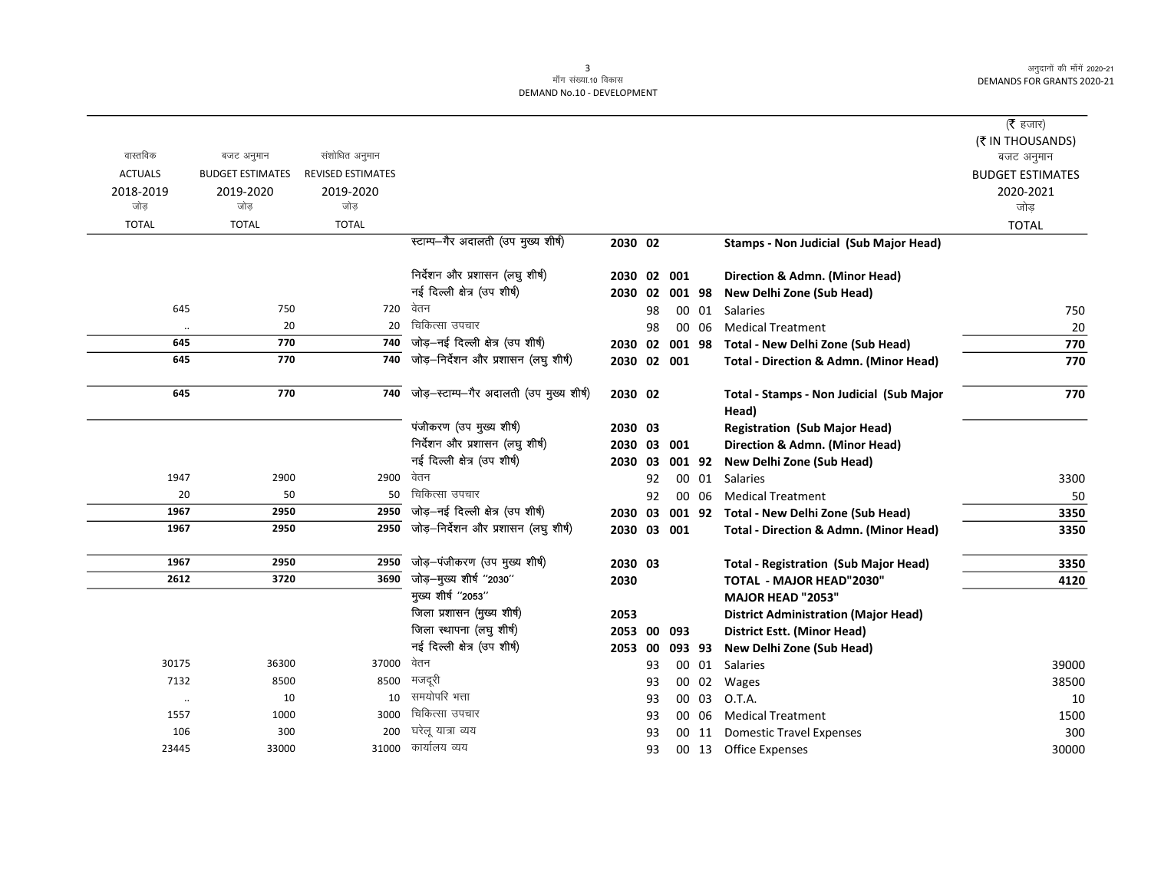|                |                         |                          |                                          |             |    |        |       |                                                   | ( $\bar{\tau}$ हजार)    |
|----------------|-------------------------|--------------------------|------------------------------------------|-------------|----|--------|-------|---------------------------------------------------|-------------------------|
|                |                         |                          |                                          |             |    |        |       |                                                   | (₹ IN THOUSANDS)        |
| वास्तविक       | बजट अनुमान              | संशोधित अनुमान           |                                          |             |    |        |       |                                                   | बजट अनुमान              |
| <b>ACTUALS</b> | <b>BUDGET ESTIMATES</b> | <b>REVISED ESTIMATES</b> |                                          |             |    |        |       |                                                   | <b>BUDGET ESTIMATES</b> |
| 2018-2019      | 2019-2020               | 2019-2020                |                                          |             |    |        |       |                                                   | 2020-2021               |
| जोड़           | जोड                     | जोड                      |                                          |             |    |        |       |                                                   | जोड                     |
| <b>TOTAL</b>   | <b>TOTAL</b>            | <b>TOTAL</b>             |                                          |             |    |        |       |                                                   | <b>TOTAL</b>            |
|                |                         |                          | स्टाम्प-गैर अदालती (उप मुख्य शीर्ष)      | 2030 02     |    |        |       | Stamps - Non Judicial (Sub Major Head)            |                         |
|                |                         |                          | निर्देशन और प्रशासन (लघु शीर्ष)          | 2030 02 001 |    |        |       | Direction & Admn. (Minor Head)                    |                         |
|                |                         |                          | नई दिल्ली क्षेत्र (उप शीर्ष)             | 2030 02     |    | 001 98 |       | New Delhi Zone (Sub Head)                         |                         |
| 645            | 750                     |                          | 720 वेतन                                 |             | 98 |        | 00 01 | Salaries                                          | 750                     |
| $\ldots$       | 20                      | 20                       | चिकित्सा उपचार                           |             | 98 |        | 00 06 | <b>Medical Treatment</b>                          | 20                      |
| 645            | 770                     | 740                      | जोड़-नई दिल्ली क्षेत्र (उप शीर्ष)        | 2030 02     |    | 001 98 |       | Total - New Delhi Zone (Sub Head)                 | 770                     |
| 645            | 770                     | 740                      | जोड़-निर्देशन और प्रशासन (लघु शीर्ष)     | 2030 02 001 |    |        |       | <b>Total - Direction &amp; Admn. (Minor Head)</b> | 770                     |
| 645            | 770                     | 740                      | जोड़-स्टाम्प-गैर अदालती (उप मुख्य शीर्ष) | 2030 02     |    |        |       | Total - Stamps - Non Judicial (Sub Major          | 770                     |
|                |                         |                          |                                          |             |    |        |       | Head)                                             |                         |
|                |                         |                          | पंजीकरण (उप मुख्य शीर्ष)                 | 2030 03     |    |        |       | <b>Registration (Sub Major Head)</b>              |                         |
|                |                         |                          | निर्देशन और प्रशासन (लघु शीर्ष)          | 2030 03 001 |    |        |       | Direction & Admn. (Minor Head)                    |                         |
|                |                         |                          | नई दिल्ली क्षेत्र (उप शीर्ष)             | 2030 03     |    | 001 92 |       | New Delhi Zone (Sub Head)                         |                         |
| 1947           | 2900                    | 2900                     | वेतन                                     |             | 92 |        | 00 01 | <b>Salaries</b>                                   | 3300                    |
| 20             | 50                      | 50                       | चिकित्सा उपचार                           |             | 92 |        | 00 06 | <b>Medical Treatment</b>                          | 50                      |
| 1967           | 2950                    | 2950                     | जोड़-नई दिल्ली क्षेत्र (उप शीर्ष)        | 2030 03     |    | 001 92 |       | Total - New Delhi Zone (Sub Head)                 | 3350                    |
| 1967           | 2950                    | 2950                     | जोड़-निर्देशन और प्रशासन (लघु शीर्ष)     | 2030 03 001 |    |        |       | <b>Total - Direction &amp; Admn. (Minor Head)</b> | 3350                    |
| 1967           | 2950                    | 2950                     | जोड़-पंजीकरण (उप मुख्य शीर्ष)            | 2030 03     |    |        |       | <b>Total - Registration (Sub Major Head)</b>      | 3350                    |
| 2612           | 3720                    | 3690                     | जोड़-मुख्य शीर्ष "2030"                  | 2030        |    |        |       | <b>TOTAL - MAJOR HEAD"2030"</b>                   | 4120                    |
|                |                         |                          | मुख्य शीर्ष "2053"                       |             |    |        |       | <b>MAJOR HEAD "2053"</b>                          |                         |
|                |                         |                          | जिला प्रशासन (मुख्य शीर्ष)               | 2053        |    |        |       | <b>District Administration (Major Head)</b>       |                         |
|                |                         |                          | जिला स्थापना (लघु शीर्ष)                 | 2053 00     |    | 093    |       | <b>District Estt. (Minor Head)</b>                |                         |
|                |                         |                          | नई दिल्ली क्षेत्र (उप शीर्ष)             | 2053 00     |    | 093 93 |       | New Delhi Zone (Sub Head)                         |                         |
| 30175          | 36300                   | 37000                    | वेतन                                     |             | 93 |        | 00 01 | Salaries                                          | 39000                   |
| 7132           | 8500                    | 8500                     | मजदूरी                                   |             | 93 |        | 00 02 | Wages                                             | 38500                   |
| $\ldots$       | 10                      | 10 <sup>1</sup>          | समयोपरि भत्ता                            |             | 93 |        | 00 03 | O.T.A.                                            | 10                      |
| 1557           | 1000                    | 3000                     | चिकित्सा उपचार                           |             | 93 |        | 00 06 | <b>Medical Treatment</b>                          | 1500                    |
| 106            | 300                     | 200                      | घरेलू यात्रा व्यय                        |             | 93 |        | 00 11 | <b>Domestic Travel Expenses</b>                   | 300                     |
| 23445          | 33000                   | 31000                    | कार्यालय व्यय                            |             | 93 |        |       | 00 13 Office Expenses                             | 30000                   |
|                |                         |                          |                                          |             |    |        |       |                                                   |                         |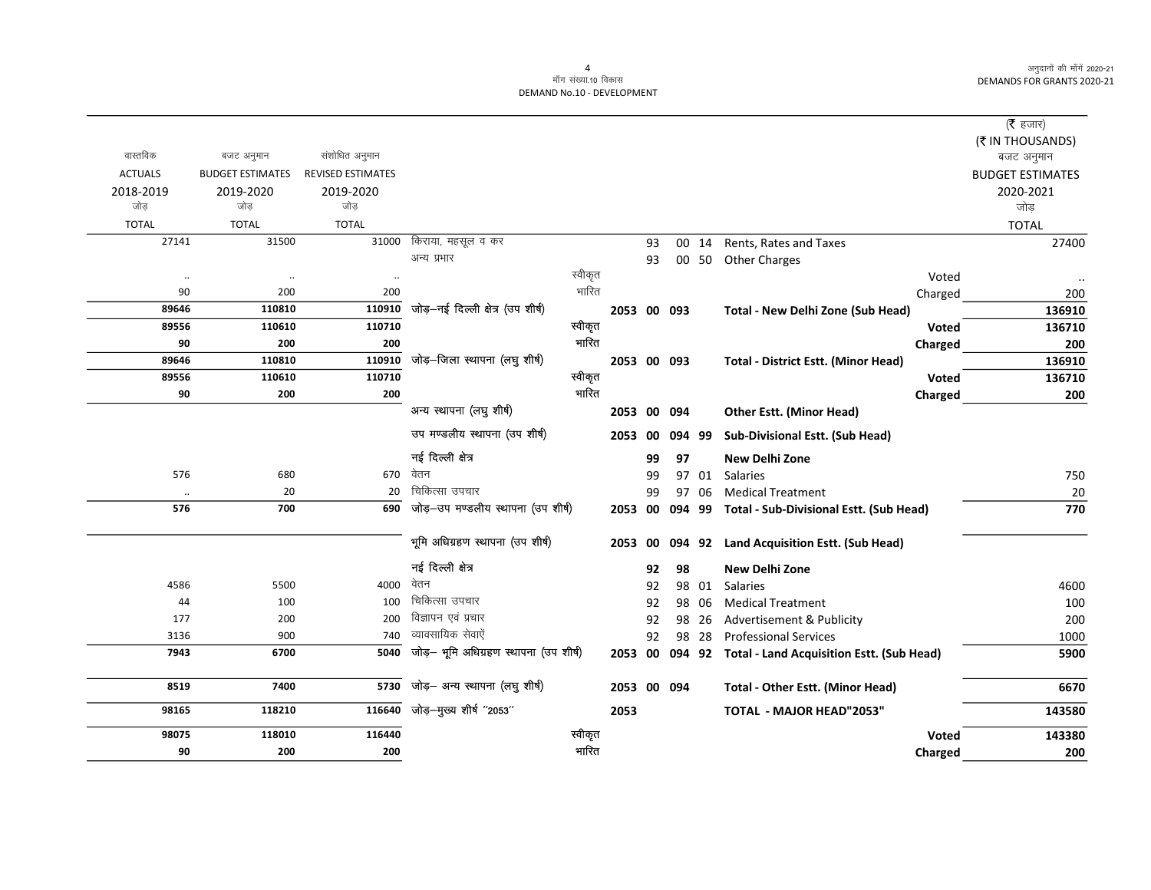|                |                         |                          |                                        |         |             |    |        |       |                                                          |         | ( $\bar{\tau}$ हजार)    |
|----------------|-------------------------|--------------------------|----------------------------------------|---------|-------------|----|--------|-------|----------------------------------------------------------|---------|-------------------------|
|                |                         |                          |                                        |         |             |    |        |       |                                                          |         | (₹ IN THOUSANDS)        |
| वास्तविक       | बजट अनुमान              | संशोधित अनुमान           |                                        |         |             |    |        |       |                                                          |         | बजट अनुमान              |
| <b>ACTUALS</b> | <b>BUDGET ESTIMATES</b> | <b>REVISED ESTIMATES</b> |                                        |         |             |    |        |       |                                                          |         | <b>BUDGET ESTIMATES</b> |
| 2018-2019      | 2019-2020               | 2019-2020                |                                        |         |             |    |        |       |                                                          |         | 2020-2021               |
| जोड            | जोड                     | जोड                      |                                        |         |             |    |        |       |                                                          |         | जोड़                    |
| <b>TOTAL</b>   | <b>TOTAL</b>            | <b>TOTAL</b>             |                                        |         |             |    |        |       |                                                          |         | <b>TOTAL</b>            |
| 27141          | 31500                   | 31000                    | किराया, महसूल व कर                     |         |             | 93 |        | 00 14 | Rents, Rates and Taxes                                   |         | 27400                   |
|                |                         |                          | अन्य प्रभार                            |         |             | 93 |        |       | 00 50 Other Charges                                      |         |                         |
| $\ldots$       | $\ddotsc$               | $\ddot{\phantom{a}}$     |                                        | स्वीकृत |             |    |        |       |                                                          | Voted   |                         |
| 90             | 200                     | 200                      |                                        | भारित   |             |    |        |       |                                                          | Charged | 200                     |
| 89646          | 110810                  | 110910                   | जोड़-नई दिल्ली क्षेत्र (उप शीर्ष)      |         | 2053 00 093 |    |        |       | Total - New Delhi Zone (Sub Head)                        |         | 136910                  |
| 89556          | 110610                  | 110710                   |                                        | स्वीकृत |             |    |        |       |                                                          | Voted   | 136710                  |
| 90             | 200                     | 200                      |                                        | भारित   |             |    |        |       |                                                          | Charged | 200                     |
| 89646          | 110810                  | 110910                   | जोड़-जिला स्थापना (लघु शीर्ष)          |         | 2053 00 093 |    |        |       | <b>Total - District Estt. (Minor Head)</b>               |         | 136910                  |
| 89556          | 110610                  | 110710                   |                                        | स्वीकृत |             |    |        |       |                                                          | Voted   | 136710                  |
| 90             | 200                     | 200                      |                                        | भारित   |             |    |        |       |                                                          | Charged | 200                     |
|                |                         |                          | अन्य स्थापना (लघु शीर्ष)               |         | 2053 00 094 |    |        |       | <b>Other Estt. (Minor Head)</b>                          |         |                         |
|                |                         |                          | उप मण्डलीय स्थापना (उप शीर्ष)          |         | 2053        | 00 | 094 99 |       | <b>Sub-Divisional Estt. (Sub Head)</b>                   |         |                         |
|                |                         |                          | नई दिल्ली क्षेत्र                      |         |             | 99 | 97     |       | <b>New Delhi Zone</b>                                    |         |                         |
| 576            | 680                     |                          | 670 वेतन                               |         |             | 99 |        | 97 01 | Salaries                                                 |         | 750                     |
| $\cdot\cdot$   | 20                      | 20                       | चिकित्सा उपचार                         |         |             | 99 |        | 97 06 | <b>Medical Treatment</b>                                 |         | 20                      |
| 576            | 700                     | 690                      | जोड़-उप मण्डलीय स्थापना (उप शीर्ष)     |         | 2053 00     |    |        |       | 094 99 Total - Sub-Divisional Estt. (Sub Head)           |         | 770                     |
|                |                         |                          | भूमि अधिग्रहण स्थापना (उप शीर्ष)       |         | 2053 00     |    |        |       | 094 92 Land Acquisition Estt. (Sub Head)                 |         |                         |
|                |                         |                          | नई दिल्ली क्षेत्र                      |         |             | 92 | 98     |       | New Delhi Zone                                           |         |                         |
| 4586           | 5500                    | 4000                     | वेतन                                   |         |             | 92 |        | 98 01 | Salaries                                                 |         | 4600                    |
| 44             | 100                     | 100                      | चिकित्सा उपचार                         |         |             | 92 |        | 98 06 | <b>Medical Treatment</b>                                 |         | 100                     |
| 177            | 200                     | 200                      | विज्ञापन एवं प्रचार                    |         |             | 92 |        | 98 26 | Advertisement & Publicity                                |         | 200                     |
| 3136           | 900                     | 740                      | व्यावसायिक सेवाऐं                      |         |             | 92 |        | 98 28 | <b>Professional Services</b>                             |         | 1000                    |
| 7943           | 6700                    | 5040                     | जोड़- भूमि अधिग्रहण स्थापना (उप शीर्ष) |         |             |    |        |       | 2053 00 094 92 Total - Land Acquisition Estt. (Sub Head) |         | 5900                    |
| 8519           | 7400                    | 5730                     | जोड़- अन्य स्थापना (लघु शीर्ष)         |         | 2053 00 094 |    |        |       | Total - Other Estt. (Minor Head)                         |         | 6670                    |
|                |                         |                          |                                        |         |             |    |        |       |                                                          |         |                         |
| 98165          | 118210                  | 116640                   | जोड़—मुख्य शीर्ष "2053"                |         | 2053        |    |        |       | <b>TOTAL - MAJOR HEAD"2053"</b>                          |         | 143580                  |
| 98075          | 118010                  | 116440                   |                                        | स्वीकृत |             |    |        |       |                                                          | Voted   | 143380                  |
| 90             | 200                     | 200                      |                                        | भारित   |             |    |        |       |                                                          | Charged | 200                     |